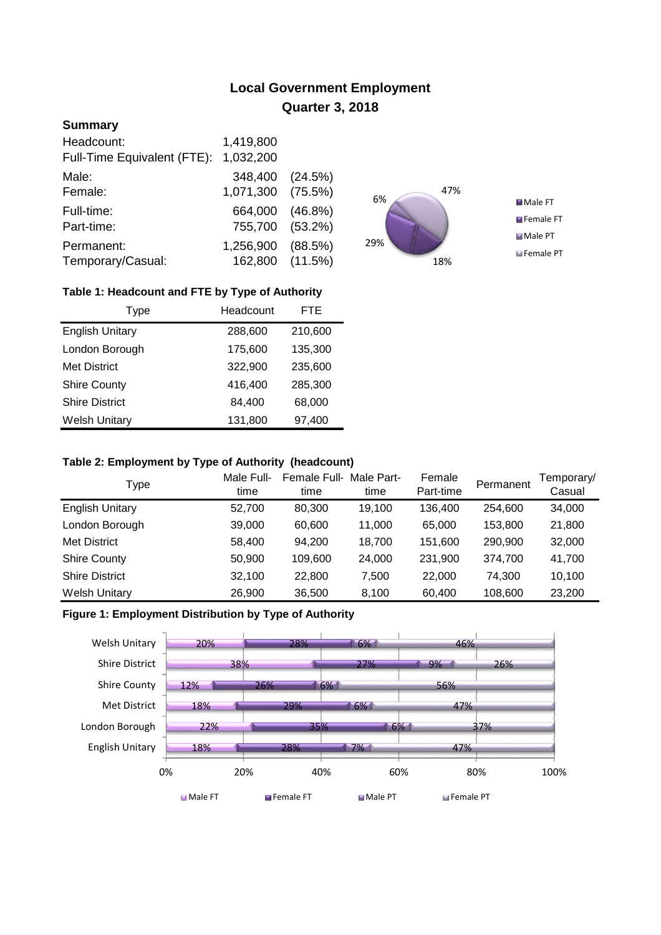# **Local Government Employment Quarter 3, 2018**

## **Summary**

| Headcount:<br>Full-Time Equivalent (FTE): | 1,419,800<br>1,032,200       |            |
|-------------------------------------------|------------------------------|------------|
| Male:                                     | 348,400                      | (24.5%)    |
| Female:                                   | 1,071,300                    | $(75.5\%)$ |
| Full-time:                                | 664,000                      | $(46.8\%)$ |
| Part-time:                                | 755,700                      | $(53.2\%)$ |
| Permanent:<br>Temporary/Casual:           | 1,256,900<br>162,800 (11.5%) | (88.5%)    |



## **Table 1: Headcount and FTE by Type of Authority**

| Type                   | Headcount | FTE     |
|------------------------|-----------|---------|
| <b>English Unitary</b> | 288,600   | 210,600 |
| London Borough         | 175,600   | 135,300 |
| <b>Met District</b>    | 322,900   | 235,600 |
| <b>Shire County</b>    | 416,400   | 285,300 |
| <b>Shire District</b>  | 84,400    | 68,000  |
| <b>Welsh Unitary</b>   | 131,800   | 97,400  |

#### **Table 2: Employment by Type of Authority (headcount)**

| Type                   | Male Full-<br>time | Female Full-<br>time | Male Part-<br>time | Female<br>Part-time | Permanent | Femporary/<br>Casual |
|------------------------|--------------------|----------------------|--------------------|---------------------|-----------|----------------------|
| <b>English Unitary</b> | 52,700             | 80,300               | 19.100             | 136,400             | 254.600   | 34,000               |
| London Borough         | 39,000             | 60,600               | 11,000             | 65,000              | 153,800   | 21,800               |
| <b>Met District</b>    | 58,400             | 94,200               | 18.700             | 151,600             | 290,900   | 32,000               |
| <b>Shire County</b>    | 50,900             | 109,600              | 24,000             | 231,900             | 374,700   | 41,700               |
| <b>Shire District</b>  | 32,100             | 22,800               | 7.500              | 22,000              | 74,300    | 10,100               |
| <b>Welsh Unitary</b>   | 26,900             | 36,500               | 8,100              | 60,400              | 108,600   | 23,200               |

### **Figure 1: Employment Distribution by Type of Authority**